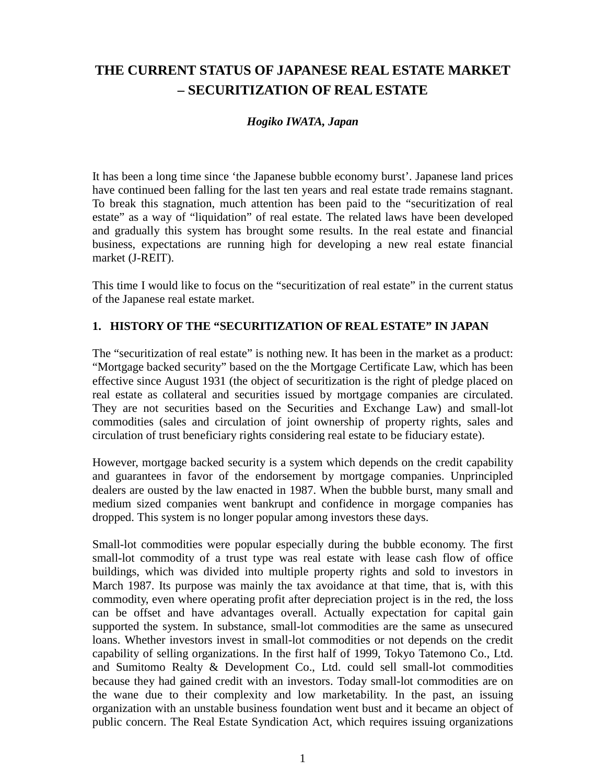# **THE CURRENT STATUS OF JAPANESE REAL ESTATE MARKET – SECURITIZATION OF REAL ESTATE**

# *Hogiko IWATA, Japan*

It has been a long time since 'the Japanese bubble economy burst'. Japanese land prices have continued been falling for the last ten years and real estate trade remains stagnant. To break this stagnation, much attention has been paid to the "securitization of real estate" as a way of "liquidation" of real estate. The related laws have been developed and gradually this system has brought some results. In the real estate and financial business, expectations are running high for developing a new real estate financial market (J-REIT).

This time I would like to focus on the "securitization of real estate" in the current status of the Japanese real estate market.

# **1. HISTORY OF THE "SECURITIZATION OF REAL ESTATE" IN JAPAN**

The "securitization of real estate" is nothing new. It has been in the market as a product: "Mortgage backed security" based on the the Mortgage Certificate Law, which has been effective since August 1931 (the object of securitization is the right of pledge placed on real estate as collateral and securities issued by mortgage companies are circulated. They are not securities based on the Securities and Exchange Law) and small-lot commodities (sales and circulation of joint ownership of property rights, sales and circulation of trust beneficiary rights considering real estate to be fiduciary estate).

However, mortgage backed security is a system which depends on the credit capability and guarantees in favor of the endorsement by mortgage companies. Unprincipled dealers are ousted by the law enacted in 1987. When the bubble burst, many small and medium sized companies went bankrupt and confidence in morgage companies has dropped. This system is no longer popular among investors these days.

Small-lot commodities were popular especially during the bubble economy. The first small-lot commodity of a trust type was real estate with lease cash flow of office buildings, which was divided into multiple property rights and sold to investors in March 1987. Its purpose was mainly the tax avoidance at that time, that is, with this commodity, even where operating profit after depreciation project is in the red, the loss can be offset and have advantages overall. Actually expectation for capital gain supported the system. In substance, small-lot commodities are the same as unsecured loans. Whether investors invest in small-lot commodities or not depends on the credit capability of selling organizations. In the first half of 1999, Tokyo Tatemono Co., Ltd. and Sumitomo Realty & Development Co., Ltd. could sell small-lot commodities because they had gained credit with an investors. Today small-lot commodities are on the wane due to their complexity and low marketability. In the past, an issuing organization with an unstable business foundation went bust and it became an object of public concern. The Real Estate Syndication Act, which requires issuing organizations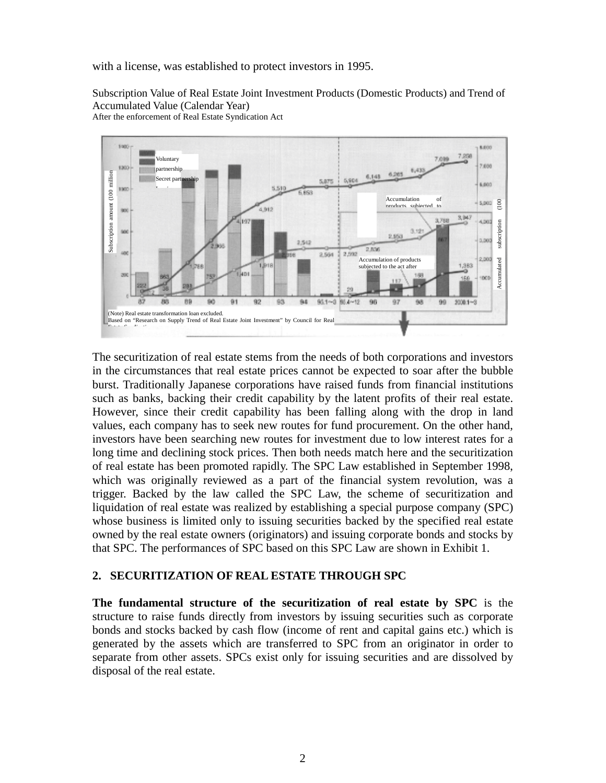with a license, was established to protect investors in 1995.

Subscription Value of Real Estate Joint Investment Products (Domestic Products) and Trend of Accumulated Value (Calendar Year) After the enforcement of Real Estate Syndication Act



The securitization of real estate stems from the needs of both corporations and investors in the circumstances that real estate prices cannot be expected to soar after the bubble burst. Traditionally Japanese corporations have raised funds from financial institutions such as banks, backing their credit capability by the latent profits of their real estate. However, since their credit capability has been falling along with the drop in land values, each company has to seek new routes for fund procurement. On the other hand, investors have been searching new routes for investment due to low interest rates for a long time and declining stock prices. Then both needs match here and the securitization of real estate has been promoted rapidly. The SPC Law established in September 1998, which was originally reviewed as a part of the financial system revolution, was a trigger. Backed by the law called the SPC Law, the scheme of securitization and liquidation of real estate was realized by establishing a special purpose company (SPC) whose business is limited only to issuing securities backed by the specified real estate owned by the real estate owners (originators) and issuing corporate bonds and stocks by that SPC. The performances of SPC based on this SPC Law are shown in Exhibit 1.

### **2. SECURITIZATION OF REAL ESTATE THROUGH SPC**

**The fundamental structure of the securitization of real estate by SPC** is the structure to raise funds directly from investors by issuing securities such as corporate bonds and stocks backed by cash flow (income of rent and capital gains etc.) which is generated by the assets which are transferred to SPC from an originator in order to separate from other assets. SPCs exist only for issuing securities and are dissolved by disposal of the real estate.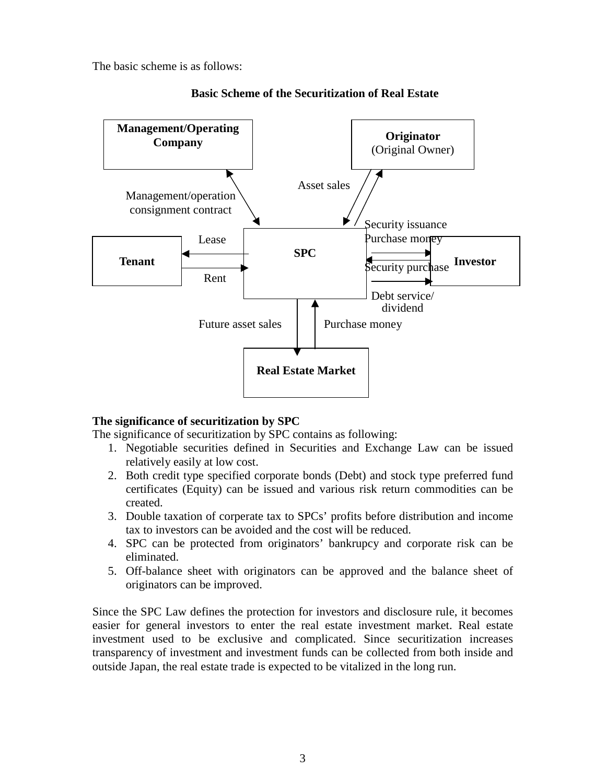The basic scheme is as follows:



### **Basic Scheme of the Securitization of Real Estate**

# **The significance of securitization by SPC**

The significance of securitization by SPC contains as following:

- 1. Negotiable securities defined in Securities and Exchange Law can be issued relatively easily at low cost.
- 2. Both credit type specified corporate bonds (Debt) and stock type preferred fund certificates (Equity) can be issued and various risk return commodities can be created.
- 3. Double taxation of corperate tax to SPCs' profits before distribution and income tax to investors can be avoided and the cost will be reduced.
- 4. SPC can be protected from originators' bankrupcy and corporate risk can be eliminated.
- 5. Off-balance sheet with originators can be approved and the balance sheet of originators can be improved.

Since the SPC Law defines the protection for investors and disclosure rule, it becomes easier for general investors to enter the real estate investment market. Real estate investment used to be exclusive and complicated. Since securitization increases transparency of investment and investment funds can be collected from both inside and outside Japan, the real estate trade is expected to be vitalized in the long run.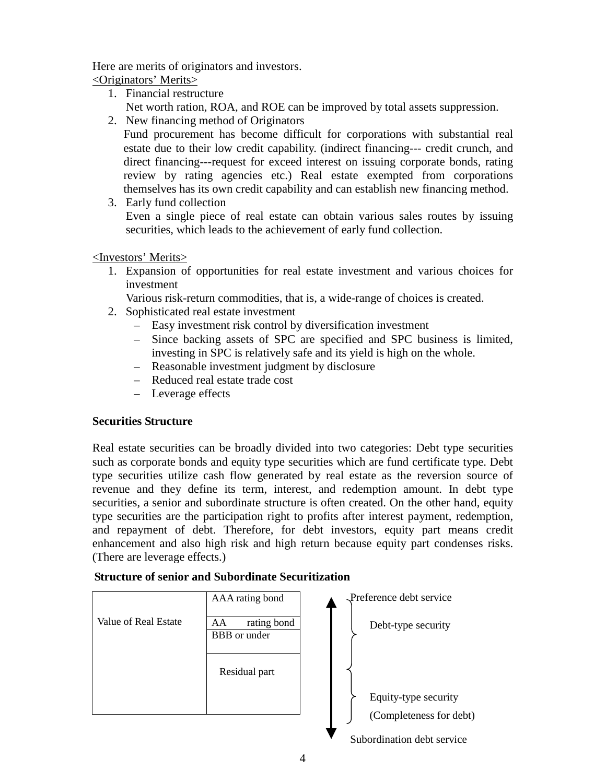Here are merits of originators and investors.

<Originators' Merits>

- 1. Financial restructure Net worth ration, ROA, and ROE can be improved by total assets suppression.
- 2. New financing method of Originators

Fund procurement has become difficult for corporations with substantial real estate due to their low credit capability. (indirect financing--- credit crunch, and direct financing---request for exceed interest on issuing corporate bonds, rating review by rating agencies etc.) Real estate exempted from corporations themselves has its own credit capability and can establish new financing method.

3. Early fund collection Even a single piece of real estate can obtain various sales routes by issuing securities, which leads to the achievement of early fund collection.

<Investors' Merits>

1. Expansion of opportunities for real estate investment and various choices for investment

Various risk-return commodities, that is, a wide-range of choices is created.

- 2. Sophisticated real estate investment
	- Easy investment risk control by diversification investment
	- Since backing assets of SPC are specified and SPC business is limited, investing in SPC is relatively safe and its yield is high on the whole.
	- Reasonable investment judgment by disclosure
	- Reduced real estate trade cost
	- Leverage effects

# **Securities Structure**

Real estate securities can be broadly divided into two categories: Debt type securities such as corporate bonds and equity type securities which are fund certificate type. Debt type securities utilize cash flow generated by real estate as the reversion source of revenue and they define its term, interest, and redemption amount. In debt type securities, a senior and subordinate structure is often created. On the other hand, equity type securities are the participation right to profits after interest payment, redemption, and repayment of debt. Therefore, for debt investors, equity part means credit enhancement and also high risk and high return because equity part condenses risks. (There are leverage effects.)

# **Structure of senior and Subordinate Securitization**

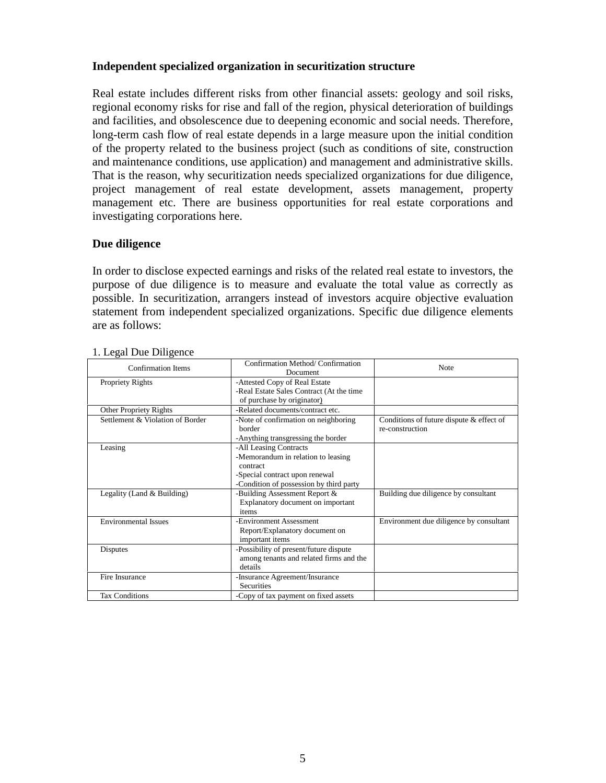### **Independent specialized organization in securitization structure**

Real estate includes different risks from other financial assets: geology and soil risks, regional economy risks for rise and fall of the region, physical deterioration of buildings and facilities, and obsolescence due to deepening economic and social needs. Therefore, long-term cash flow of real estate depends in a large measure upon the initial condition of the property related to the business project (such as conditions of site, construction and maintenance conditions, use application) and management and administrative skills. That is the reason, why securitization needs specialized organizations for due diligence, project management of real estate development, assets management, property management etc. There are business opportunities for real estate corporations and investigating corporations here.

### **Due diligence**

In order to disclose expected earnings and risks of the related real estate to investors, the purpose of due diligence is to measure and evaluate the total value as correctly as possible. In securitization, arrangers instead of investors acquire objective evaluation statement from independent specialized organizations. Specific due diligence elements are as follows:

| <b>Confirmation Items</b>        | Confirmation Method/Confirmation<br>Document                                                                                                          | <b>Note</b>                             |  |
|----------------------------------|-------------------------------------------------------------------------------------------------------------------------------------------------------|-----------------------------------------|--|
| <b>Propriety Rights</b>          | -Attested Copy of Real Estate<br>-Real Estate Sales Contract (At the time<br>of purchase by originator)                                               |                                         |  |
| Other Propriety Rights           | -Related documents/contract etc.                                                                                                                      |                                         |  |
| Settlement & Violation of Border | Conditions of future dispute & effect of<br>-Note of confirmation on neighboring<br>re-construction<br>horder<br>-Anything transgressing the border   |                                         |  |
| Leasing                          | -All Leasing Contracts<br>-Memorandum in relation to leasing<br>contract<br>-Special contract upon renewal<br>-Condition of possession by third party |                                         |  |
| Legality (Land & Building)       | -Building Assessment Report &<br>Explanatory document on important<br>items                                                                           | Building due diligence by consultant    |  |
| <b>Environmental Issues</b>      | -Environment Assessment<br>Report/Explanatory document on<br>important items                                                                          | Environment due diligence by consultant |  |
| Disputes                         | -Possibility of present/future dispute<br>among tenants and related firms and the<br>details                                                          |                                         |  |
| Fire Insurance                   | -Insurance Agreement/Insurance<br><b>Securities</b>                                                                                                   |                                         |  |
| <b>Tax Conditions</b>            | -Copy of tax payment on fixed assets                                                                                                                  |                                         |  |

#### 1. Legal Due Diligence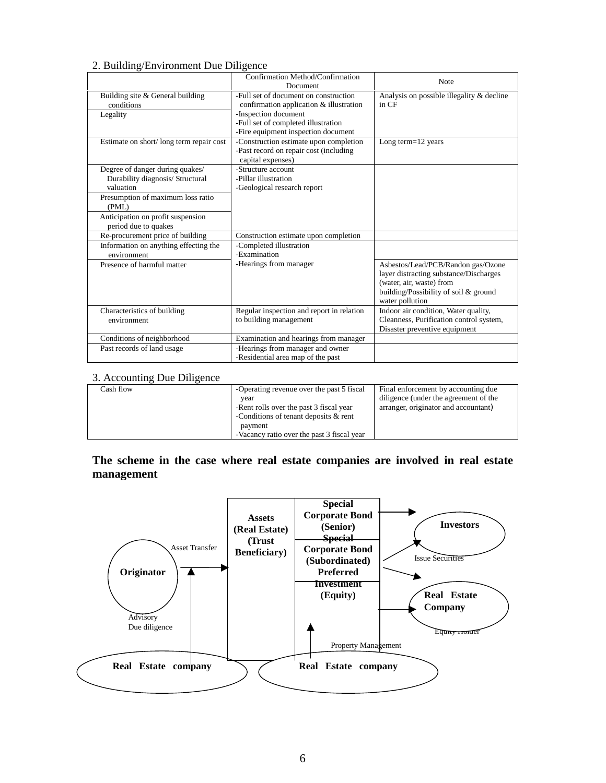#### 2. Building/Environment Due Diligence

|                                                           | Confirmation Method/Confirmation<br>Document                                                          | <b>Note</b>                                                                                                                                                          |  |
|-----------------------------------------------------------|-------------------------------------------------------------------------------------------------------|----------------------------------------------------------------------------------------------------------------------------------------------------------------------|--|
| Building site & General building<br>conditions            | -Full set of document on construction<br>confirmation application & illustration                      | Analysis on possible illegality & decline<br>in CF                                                                                                                   |  |
| Legality                                                  | -Inspection document<br>-Full set of completed illustration                                           |                                                                                                                                                                      |  |
|                                                           | -Fire equipment inspection document                                                                   |                                                                                                                                                                      |  |
| Estimate on short/long term repair cost                   | -Construction estimate upon completion<br>-Past record on repair cost (including<br>capital expenses) | Long term=12 years                                                                                                                                                   |  |
| Degree of danger during quakes/                           | -Structure account                                                                                    |                                                                                                                                                                      |  |
| Durability diagnosis/ Structural                          | -Pillar illustration                                                                                  |                                                                                                                                                                      |  |
| valuation                                                 | -Geological research report                                                                           |                                                                                                                                                                      |  |
| Presumption of maximum loss ratio<br>(PML)                |                                                                                                       |                                                                                                                                                                      |  |
| Anticipation on profit suspension<br>period due to quakes |                                                                                                       |                                                                                                                                                                      |  |
| Re-procurement price of building                          | Construction estimate upon completion                                                                 |                                                                                                                                                                      |  |
| Information on anything effecting the<br>environment      | -Completed illustration<br>-Examination                                                               |                                                                                                                                                                      |  |
| Presence of harmful matter                                | -Hearings from manager                                                                                | Asbestos/Lead/PCB/Randon gas/Ozone<br>layer distracting substance/Discharges<br>(water, air, waste) from<br>building/Possibility of soil & ground<br>water pollution |  |
| Characteristics of building                               | Regular inspection and report in relation                                                             | Indoor air condition, Water quality,                                                                                                                                 |  |
| environment                                               | to building management                                                                                | Cleanness, Purification control system,<br>Disaster preventive equipment                                                                                             |  |
| Conditions of neighborhood                                | Examination and hearings from manager                                                                 |                                                                                                                                                                      |  |
| Past records of land usage                                | -Hearings from manager and owner<br>-Residential area map of the past                                 |                                                                                                                                                                      |  |

#### 3. Accounting Due Diligence

| Cash flow | -Operating revenue over the past 5 fiscal  | Final enforcement by accounting due   |
|-----------|--------------------------------------------|---------------------------------------|
|           | vear                                       | diligence (under the agreement of the |
|           | -Rent rolls over the past 3 fiscal year    | arranger, originator and accountant)  |
|           | -Conditions of tenant deposits & rent      |                                       |
|           | payment                                    |                                       |
|           | -Vacancy ratio over the past 3 fiscal year |                                       |

# **The scheme in the case where real estate companies are involved in real estate management**

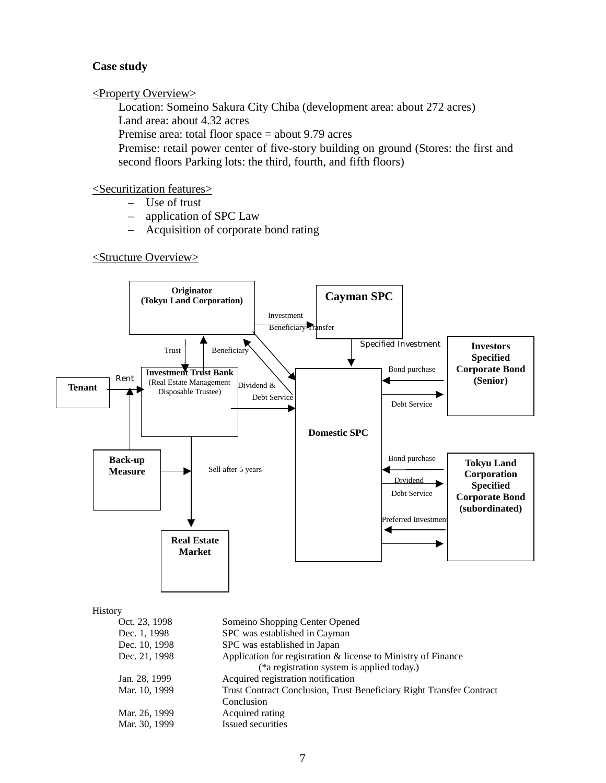### **Case study**

### <Property Overview>

Location: Someino Sakura City Chiba (development area: about 272 acres) Land area: about 4.32 acres

Premise area: total floor space = about 9.79 acres

Premise: retail power center of five-story building on ground (Stores: the first and second floors Parking lots: the third, fourth, and fifth floors)

### <Securitization features>

- Use of trust
- application of SPC Law
- Acquisition of corporate bond rating

<Structure Overview>

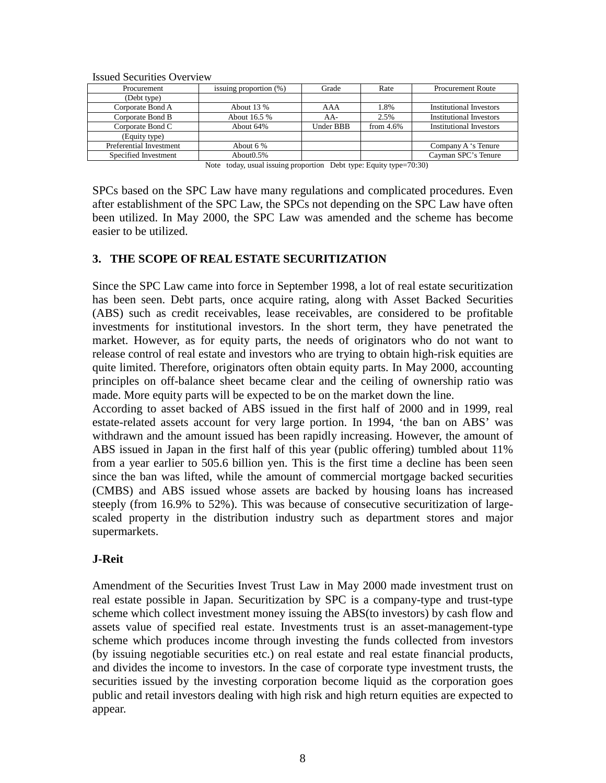| 199000 Decuments Overview |                           |           |              |                                |
|---------------------------|---------------------------|-----------|--------------|--------------------------------|
| Procurement               | issuing proportion $(\%)$ | Grade     | Rate         | <b>Procurement Route</b>       |
| (Debt type)               |                           |           |              |                                |
| Corporate Bond A          | About 13 %                | AAA       | 1.8%         | Institutional Investors        |
| Corporate Bond B          | About 16.5 %              | $AA-$     | 2.5%         | <b>Institutional Investors</b> |
| Corporate Bond C          | About 64%                 | Under BBB | from $4.6\%$ | <b>Institutional Investors</b> |
| (Equity type)             |                           |           |              |                                |
| Preferential Investment   | About 6 %                 |           |              | Company A 's Tenure            |
| Specified Investment      | About <sub>0.5</sub> %    |           |              | Cayman SPC's Tenure            |

Issued Securities Overview

Note today, usual issuing proportion Debt type: Equity type=70:30)

SPCs based on the SPC Law have many regulations and complicated procedures. Even after establishment of the SPC Law, the SPCs not depending on the SPC Law have often been utilized. In May 2000, the SPC Law was amended and the scheme has become easier to be utilized.

# **3. THE SCOPE OF REAL ESTATE SECURITIZATION**

Since the SPC Law came into force in September 1998, a lot of real estate securitization has been seen. Debt parts, once acquire rating, along with Asset Backed Securities (ABS) such as credit receivables, lease receivables, are considered to be profitable investments for institutional investors. In the short term, they have penetrated the market. However, as for equity parts, the needs of originators who do not want to release control of real estate and investors who are trying to obtain high-risk equities are quite limited. Therefore, originators often obtain equity parts. In May 2000, accounting principles on off-balance sheet became clear and the ceiling of ownership ratio was made. More equity parts will be expected to be on the market down the line.

According to asset backed of ABS issued in the first half of 2000 and in 1999, real estate-related assets account for very large portion. In 1994, 'the ban on ABS' was withdrawn and the amount issued has been rapidly increasing. However, the amount of ABS issued in Japan in the first half of this year (public offering) tumbled about 11% from a year earlier to 505.6 billion yen. This is the first time a decline has been seen since the ban was lifted, while the amount of commercial mortgage backed securities (CMBS) and ABS issued whose assets are backed by housing loans has increased steeply (from 16.9% to 52%). This was because of consecutive securitization of largescaled property in the distribution industry such as department stores and major supermarkets.

# **J-Reit**

Amendment of the Securities Invest Trust Law in May 2000 made investment trust on real estate possible in Japan. Securitization by SPC is a company-type and trust-type scheme which collect investment money issuing the ABS(to investors) by cash flow and assets value of specified real estate. Investments trust is an asset-management-type scheme which produces income through investing the funds collected from investors (by issuing negotiable securities etc.) on real estate and real estate financial products, and divides the income to investors. In the case of corporate type investment trusts, the securities issued by the investing corporation become liquid as the corporation goes public and retail investors dealing with high risk and high return equities are expected to appear.